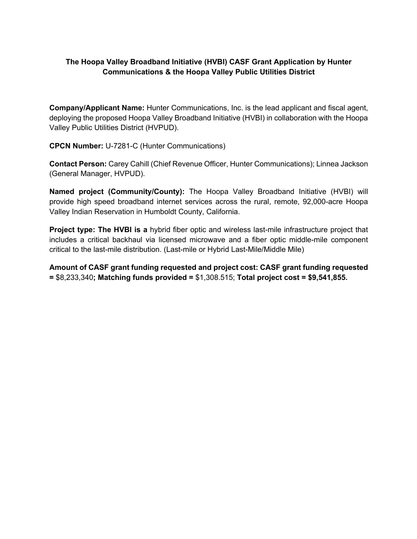## **The Hoopa Valley Broadband Initiative (HVBI) CASF Grant Application by Hunter Communications & the Hoopa Valley Public Utilities District**

**Company/Applicant Name:** Hunter Communications, Inc. is the lead applicant and fiscal agent, deploying the proposed Hoopa Valley Broadband Initiative (HVBI) in collaboration with the Hoopa Valley Public Utilities District (HVPUD).

**CPCN Number:** U-7281-C (Hunter Communications)

**Contact Person:** Carey Cahill (Chief Revenue Officer, Hunter Communications); Linnea Jackson (General Manager, HVPUD).

**Named project (Community/County):** The Hoopa Valley Broadband Initiative (HVBI) will provide high speed broadband internet services across the rural, remote, 92,000-acre Hoopa Valley Indian Reservation in Humboldt County, California.

**Project type: The HVBI is a** hybrid fiber optic and wireless last-mile infrastructure project that includes a critical backhaul via licensed microwave and a fiber optic middle-mile component critical to the last-mile distribution. (Last-mile or Hybrid Last-Mile/Middle Mile)

**Amount of CASF grant funding requested and project cost: CASF grant funding requested =** \$8,233,340**; Matching funds provided =** \$1,308.515; **Total project cost = \$9,541,855.**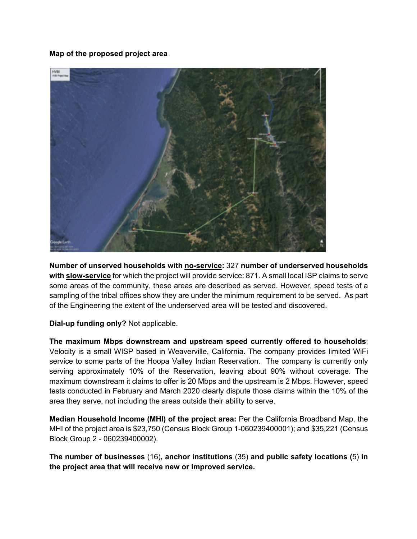## **Map of the proposed project area**



**Number of unserved households with no-service:** 327 **number of underserved households**  with **slow-service** for which the project will provide service: 871. A small local ISP claims to serve some areas of the community, these areas are described as served. However, speed tests of a sampling of the tribal offices show they are under the minimum requirement to be served. As part of the Engineering the extent of the underserved area will be tested and discovered.

**Dial-up funding only?** Not applicable.

**The maximum Mbps downstream and upstream speed currently offered to households**: Velocity is a small WISP based in Weaverville, California. The company provides limited WiFi service to some parts of the Hoopa Valley Indian Reservation. The company is currently only serving approximately 10% of the Reservation, leaving about 90% without coverage. The maximum downstream it claims to offer is 20 Mbps and the upstream is 2 Mbps. However, speed tests conducted in February and March 2020 clearly dispute those claims within the 10% of the area they serve, not including the areas outside their ability to serve.

**Median Household Income (MHI) of the project area:** Per the California Broadband Map, the MHI of the project area is \$23,750 (Census Block Group 1-060239400001); and \$35,221 (Census Block Group 2 - 060239400002).

**The number of businesses** (16)**, anchor institutions** (35) **and public safety locations (**5) **in the project area that will receive new or improved service.**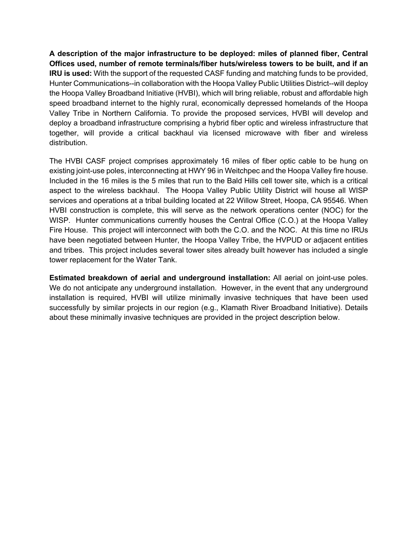**A description of the major infrastructure to be deployed: miles of planned fiber, Central Offices used, number of remote terminals/fiber huts/wireless towers to be built, and if an IRU is used:** With the support of the requested CASF funding and matching funds to be provided, Hunter Communications--in collaboration with the Hoopa Valley Public Utilities District--will deploy the Hoopa Valley Broadband Initiative (HVBI), which will bring reliable, robust and affordable high speed broadband internet to the highly rural, economically depressed homelands of the Hoopa Valley Tribe in Northern California. To provide the proposed services, HVBI will develop and deploy a broadband infrastructure comprising a hybrid fiber optic and wireless infrastructure that together, will provide a critical backhaul via licensed microwave with fiber and wireless distribution.

The HVBI CASF project comprises approximately 16 miles of fiber optic cable to be hung on existing joint-use poles, interconnecting at HWY 96 in Weitchpec and the Hoopa Valley fire house. Included in the 16 miles is the 5 miles that run to the Bald Hills cell tower site, which is a critical aspect to the wireless backhaul. The Hoopa Valley Public Utility District will house all WISP services and operations at a tribal building located at 22 Willow Street, Hoopa, CA 95546. When HVBI construction is complete, this will serve as the network operations center (NOC) for the WISP. Hunter communications currently houses the Central Office (C.O.) at the Hoopa Valley Fire House. This project will interconnect with both the C.O. and the NOC. At this time no IRUs have been negotiated between Hunter, the Hoopa Valley Tribe, the HVPUD or adjacent entities and tribes. This project includes several tower sites already built however has included a single tower replacement for the Water Tank.

**Estimated breakdown of aerial and underground installation:** All aerial on joint-use poles. We do not anticipate any underground installation. However, in the event that any underground installation is required, HVBI will utilize minimally invasive techniques that have been used successfully by similar projects in our region (e.g., Klamath River Broadband Initiative). Details about these minimally invasive techniques are provided in the project description below.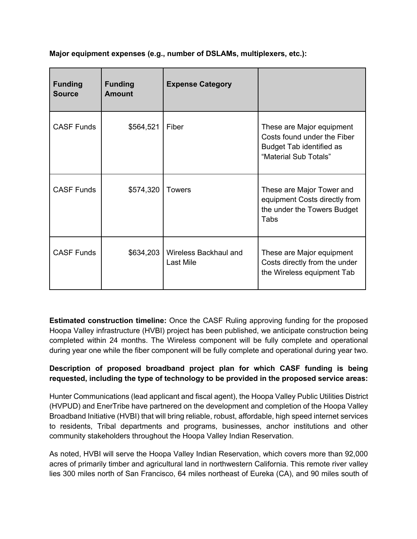| Major equipment expenses (e.g., number of DSLAMs, multiplexers, etc.): |  |
|------------------------------------------------------------------------|--|

| <b>Funding</b><br><b>Source</b> | <b>Funding</b><br><b>Amount</b> | <b>Expense Category</b>            |                                                                                                                      |
|---------------------------------|---------------------------------|------------------------------------|----------------------------------------------------------------------------------------------------------------------|
| <b>CASF Funds</b>               | \$564,521                       | Fiber                              | These are Major equipment<br>Costs found under the Fiber<br><b>Budget Tab identified as</b><br>"Material Sub Totals" |
| <b>CASF Funds</b>               | \$574,320                       | <b>Towers</b>                      | These are Major Tower and<br>equipment Costs directly from<br>the under the Towers Budget<br>Tabs                    |
| <b>CASF Funds</b>               | \$634,203                       | Wireless Backhaul and<br>Last Mile | These are Major equipment<br>Costs directly from the under<br>the Wireless equipment Tab                             |

**Estimated construction timeline:** Once the CASF Ruling approving funding for the proposed Hoopa Valley infrastructure (HVBI) project has been published, we anticipate construction being completed within 24 months. The Wireless component will be fully complete and operational during year one while the fiber component will be fully complete and operational during year two.

## **Description of proposed broadband project plan for which CASF funding is being requested, including the type of technology to be provided in the proposed service areas:**

Hunter Communications (lead applicant and fiscal agent), the Hoopa Valley Public Utilities District (HVPUD) and EnerTribe have partnered on the development and completion of the Hoopa Valley Broadband Initiative (HVBI) that will bring reliable, robust, affordable, high speed internet services to residents, Tribal departments and programs, businesses, anchor institutions and other community stakeholders throughout the Hoopa Valley Indian Reservation.

As noted, HVBI will serve the Hoopa Valley Indian Reservation, which covers more than 92,000 acres of primarily timber and agricultural land in northwestern California. This remote river valley lies 300 miles north of San Francisco, 64 miles northeast of Eureka (CA), and 90 miles south of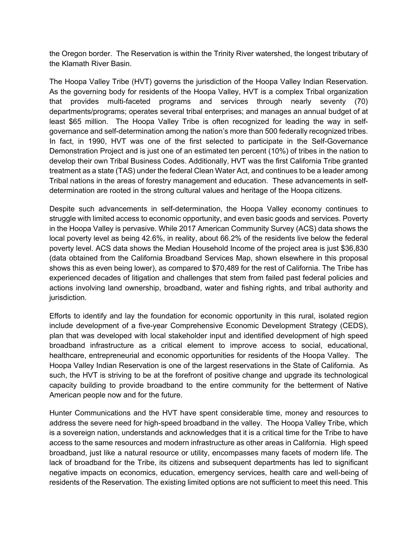the Oregon border. The Reservation is within the Trinity River watershed, the longest tributary of the Klamath River Basin.

The Hoopa Valley Tribe (HVT) governs the jurisdiction of the Hoopa Valley Indian Reservation. As the governing body for residents of the Hoopa Valley, HVT is a complex Tribal organization that provides multi-faceted programs and services through nearly seventy (70) departments/programs; operates several tribal enterprises; and manages an annual budget of at least \$65 million. The Hoopa Valley Tribe is often recognized for leading the way in selfgovernance and self-determination among the nation's more than 500 federally recognized tribes. In fact, in 1990, HVT was one of the first selected to participate in the Self-Governance Demonstration Project and is just one of an estimated ten percent (10%) of tribes in the nation to develop their own Tribal Business Codes. Additionally, HVT was the first California Tribe granted treatment as a state (TAS) under the federal Clean Water Act, and continues to be a leader among Tribal nations in the areas of forestry management and education. These advancements in selfdetermination are rooted in the strong cultural values and heritage of the Hoopa citizens.

Despite such advancements in self-determination, the Hoopa Valley economy continues to struggle with limited access to economic opportunity, and even basic goods and services. Poverty in the Hoopa Valley is pervasive. While 2017 American Community Survey (ACS) data shows the local poverty level as being 42.6%, in reality, about 66.2% of the residents live below the federal poverty level. ACS data shows the Median Household Income of the project area is just \$36,830 (data obtained from the California Broadband Services Map, shown elsewhere in this proposal shows this as even being lower), as compared to \$70,489 for the rest of California. The Tribe has experienced decades of litigation and challenges that stem from failed past federal policies and actions involving land ownership, broadband, water and fishing rights, and tribal authority and jurisdiction.

Efforts to identify and lay the foundation for economic opportunity in this rural, isolated region include development of a five-year Comprehensive Economic Development Strategy (CEDS), plan that was developed with local stakeholder input and identified development of high speed broadband infrastructure as a critical element to improve access to social, educational, healthcare, entrepreneurial and economic opportunities for residents of the Hoopa Valley. The Hoopa Valley Indian Reservation is one of the largest reservations in the State of California. As such, the HVT is striving to be at the forefront of positive change and upgrade its technological capacity building to provide broadband to the entire community for the betterment of Native American people now and for the future.

Hunter Communications and the HVT have spent considerable time, money and resources to address the severe need for high-speed broadband in the valley. The Hoopa Valley Tribe, which is a sovereign nation, understands and acknowledges that it is a critical time for the Tribe to have access to the same resources and modern infrastructure as other areas in California. High speed broadband, just like a natural resource or utility, encompasses many facets of modern life. The lack of broadband for the Tribe, its citizens and subsequent departments has led to significant negative impacts on economics, education, emergency services, health care and well-being of residents of the Reservation. The existing limited options are not sufficient to meet this need. This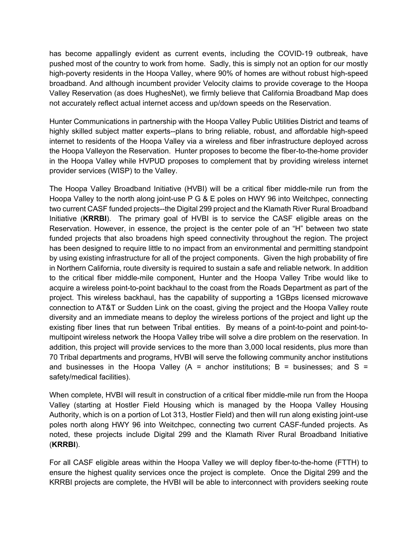has become appallingly evident as current events, including the COVID-19 outbreak, have pushed most of the country to work from home. Sadly, this is simply not an option for our mostly high-poverty residents in the Hoopa Valley, where 90% of homes are without robust high-speed broadband. And although incumbent provider Velocity claims to provide coverage to the Hoopa Valley Reservation (as does HughesNet), we firmly believe that California Broadband Map does not accurately reflect actual internet access and up/down speeds on the Reservation.

Hunter Communications in partnership with the Hoopa Valley Public Utilities District and teams of highly skilled subject matter experts--plans to bring reliable, robust, and affordable high-speed internet to residents of the Hoopa Valley via a wireless and fiber infrastructure deployed across the Hoopa Valleyon the Reservation. Hunter proposes to become the fiber-to-the-home provider in the Hoopa Valley while HVPUD proposes to complement that by providing wireless internet provider services (WISP) to the Valley.

The Hoopa Valley Broadband Initiative (HVBI) will be a critical fiber middle-mile run from the Hoopa Valley to the north along joint-use P G & E poles on HWY 96 into Weitchpec, connecting two current CASF funded projects--the Digital 299 project and the Klamath River Rural Broadband Initiative (**KRRBI**). The primary goal of HVBI is to service the CASF eligible areas on the Reservation. However, in essence, the project is the center pole of an "H" between two state funded projects that also broadens high speed connectivity throughout the region. The project has been designed to require little to no impact from an environmental and permitting standpoint by using existing infrastructure for all of the project components. Given the high probability of fire in Northern California, route diversity is required to sustain a safe and reliable network. In addition to the critical fiber middle-mile component, Hunter and the Hoopa Valley Tribe would like to acquire a wireless point-to-point backhaul to the coast from the Roads Department as part of the project. This wireless backhaul, has the capability of supporting a 1GBps licensed microwave connection to AT&T or Sudden Link on the coast, giving the project and the Hoopa Valley route diversity and an immediate means to deploy the wireless portions of the project and light up the existing fiber lines that run between Tribal entities. By means of a point-to-point and point-tomultipoint wireless network the Hoopa Valley tribe will solve a dire problem on the reservation. In addition, this project will provide services to the more than 3,000 local residents, plus more than 70 Tribal departments and programs, HVBI will serve the following community anchor institutions and businesses in the Hoopa Valley (A = anchor institutions; B = businesses; and S = safety/medical facilities).

When complete, HVBI will result in construction of a critical fiber middle-mile run from the Hoopa Valley (starting at Hostler Field Housing which is managed by the Hoopa Valley Housing Authority, which is on a portion of Lot 313, Hostler Field) and then will run along existing joint-use poles north along HWY 96 into Weitchpec, connecting two current CASF-funded projects. As noted, these projects include Digital 299 and the Klamath River Rural Broadband Initiative (**KRRBI**).

For all CASF eligible areas within the Hoopa Valley we will deploy fiber-to-the-home (FTTH) to ensure the highest quality services once the project is complete. Once the Digital 299 and the KRRBI projects are complete, the HVBI will be able to interconnect with providers seeking route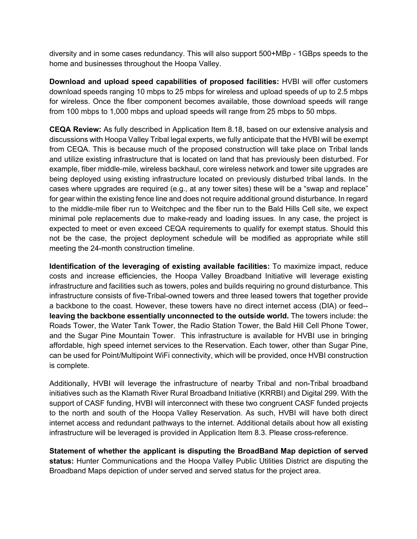diversity and in some cases redundancy. This will also support 500+MBp - 1GBps speeds to the home and businesses throughout the Hoopa Valley.

**Download and upload speed capabilities of proposed facilities:** HVBI will offer customers download speeds ranging 10 mbps to 25 mbps for wireless and upload speeds of up to 2.5 mbps for wireless. Once the fiber component becomes available, those download speeds will range from 100 mbps to 1,000 mbps and upload speeds will range from 25 mbps to 50 mbps.

**CEQA Review:** As fully described in Application Item 8.18, based on our extensive analysis and discussions with Hoopa Valley Tribal legal experts, we fully anticipate that the HVBI will be exempt from CEQA. This is because much of the proposed construction will take place on Tribal lands and utilize existing infrastructure that is located on land that has previously been disturbed. For example, fiber middle-mile, wireless backhaul, core wireless network and tower site upgrades are being deployed using existing infrastructure located on previously disturbed tribal lands. In the cases where upgrades are required (e.g., at any tower sites) these will be a "swap and replace" for gear within the existing fence line and does not require additional ground disturbance. In regard to the middle-mile fiber run to Weitchpec and the fiber run to the Bald Hills Cell site, we expect minimal pole replacements due to make-ready and loading issues. In any case, the project is expected to meet or even exceed CEQA requirements to qualify for exempt status. Should this not be the case, the project deployment schedule will be modified as appropriate while still meeting the 24-month construction timeline.

**Identification of the leveraging of existing available facilities:** To maximize impact, reduce costs and increase efficiencies, the Hoopa Valley Broadband Initiative will leverage existing infrastructure and facilities such as towers, poles and builds requiring no ground disturbance. This infrastructure consists of five-Tribal-owned towers and three leased towers that together provide a backbone to the coast. However, these towers have no direct internet access (DIA) or feed- **leaving the backbone essentially unconnected to the outside world.** The towers include: the Roads Tower, the Water Tank Tower, the Radio Station Tower, the Bald Hill Cell Phone Tower, and the Sugar Pine Mountain Tower. This infrastructure is available for HVBI use in bringing affordable, high speed internet services to the Reservation. Each tower, other than Sugar Pine, can be used for Point/Multipoint WiFi connectivity, which will be provided, once HVBI construction is complete.

Additionally, HVBI will leverage the infrastructure of nearby Tribal and non-Tribal broadband initiatives such as the Klamath River Rural Broadband Initiative (KRRBI) and Digital 299. With the support of CASF funding, HVBI will interconnect with these two congruent CASF funded projects to the north and south of the Hoopa Valley Reservation. As such, HVBI will have both direct internet access and redundant pathways to the internet. Additional details about how all existing infrastructure will be leveraged is provided in Application Item 8.3. Please cross-reference.

**Statement of whether the applicant is disputing the BroadBand Map depiction of served status:** Hunter Communications and the Hoopa Valley Public Utilities District are disputing the Broadband Maps depiction of under served and served status for the project area.